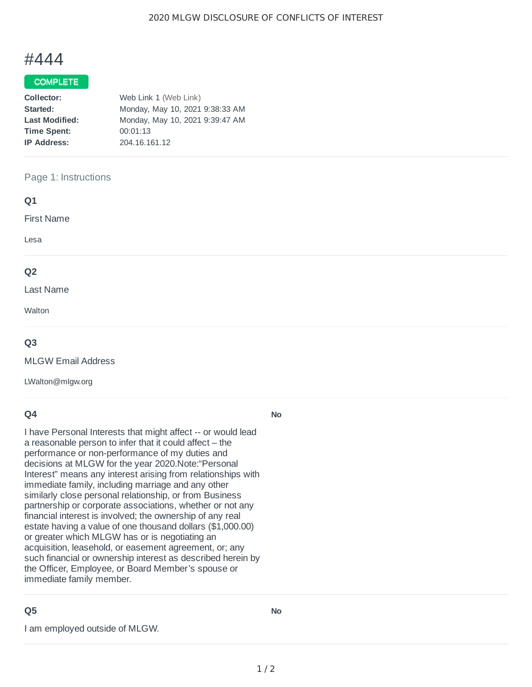# #444

### **COMPLETE**

| Web Link 1 (Web Link)           |  |
|---------------------------------|--|
| Monday, May 10, 2021 9:38:33 AM |  |
| Monday, May 10, 2021 9:39:47 AM |  |
| 00:01:13                        |  |
| 204.16.161.12                   |  |
|                                 |  |

#### Page 1: Instructions

| Q1                |  |  |
|-------------------|--|--|
| <b>First Name</b> |  |  |
| Lesa              |  |  |
| Q <sub>2</sub>    |  |  |
| Last Name         |  |  |
| Walton            |  |  |
|                   |  |  |

#### **Q3**

MLGW Email Address

LWalton@mlgw.org

#### **Q4**

I have Personal Interests that might affect -- or would lead a reasonable person to infer that it could affect – the performance or non-performance of my duties and decisions at MLGW for the year 2020.Note:"Personal Interest" means any interest arising from relationships with immediate family, including marriage and any other similarly close personal relationship, or from Business partnership or corporate associations, whether or not any financial interest is involved; the ownership of any real estate having a value of one thousand dollars (\$1,000.00) or greater which MLGW has or is negotiating an acquisition, leasehold, or easement agreement, or; any such financial or ownership interest as described herein by the Officer, Employee, or Board Member's spouse or immediate family member.

## **Q5**

I am employed outside of MLGW.

**No**

**No**